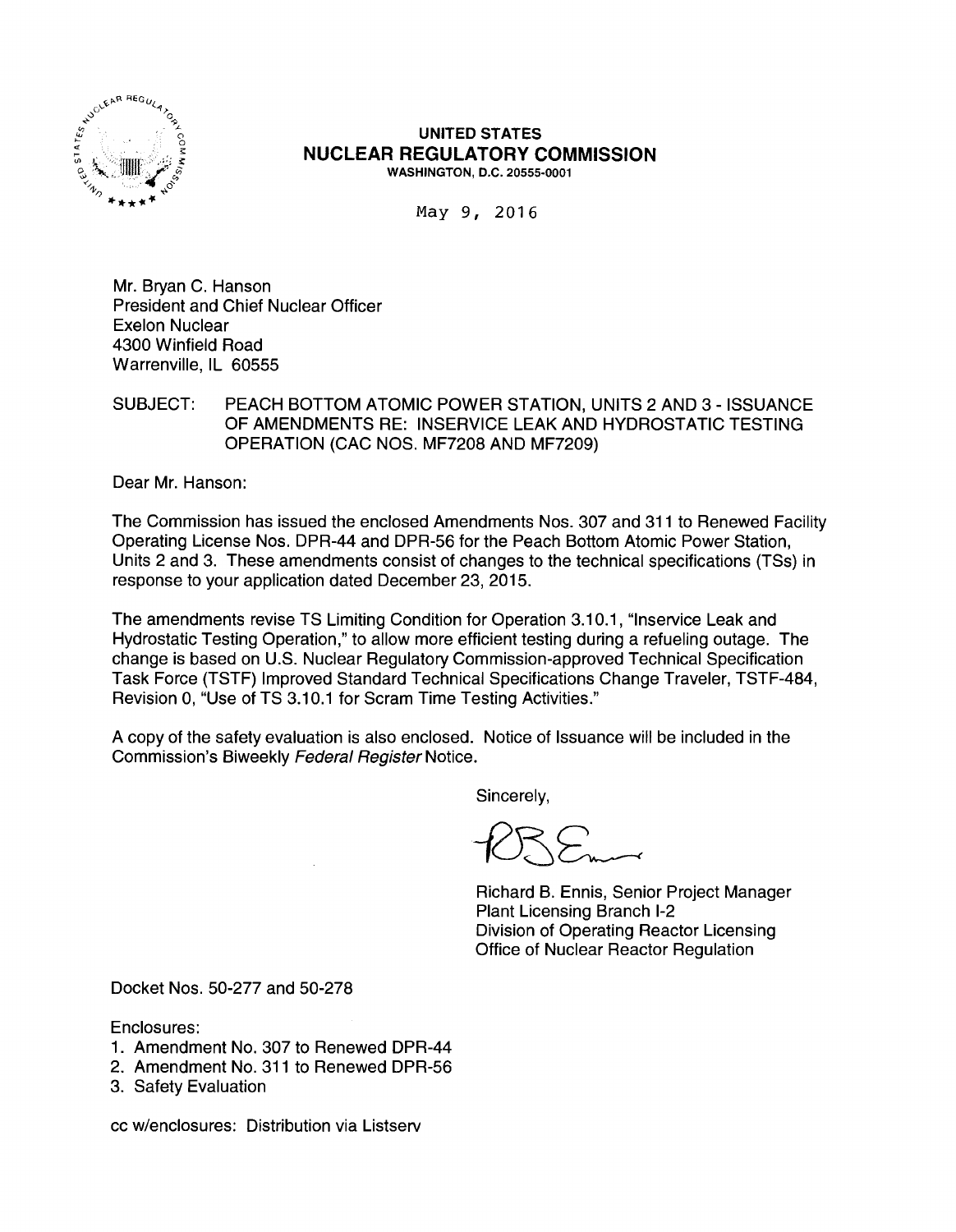

#### UNITED STATES NUCLEAR REGULATORY COMMISSION WASHINGTON, D.C. 20555-0001

May 9, 2016

Mr. Bryan C. Hanson President and Chief Nuclear Officer Exelon Nuclear 4300 Winfield Road Warrenville, IL 60555

### SUBJECT: PEACH BOTTOM ATOMIC POWER STATION, UNITS 2 AND 3 - ISSUANCE OF AMENDMENTS RE: INSERVICE LEAK AND HYDROSTATIC TESTING OPERATION (CAC NOS. MF7208 AND MF7209)

Dear Mr. Hanson:

The Commission has issued the enclosed Amendments Nos. 307 and 311 to Renewed Facility Operating License Nos. DPR-44 and DPR-56 for the Peach Bottom Atomic Power Station, Units 2 and 3. These amendments consist of changes to the technical specifications (TSs) in response to your application dated December 23, 2015.

The amendments revise TS Limiting Condition for Operation 3.10.1, "lnservice Leak and Hydrostatic Testing Operation," to allow more efficient testing during a refueling outage. The change is based on U.S. Nuclear Regulatory Commission-approved Technical Specification Task Force (TSTF) Improved Standard Technical Specifications Change Traveler, TSTF-484, Revision 0, "Use of TS 3.10.1 for Scram Time Testing Activities."

A copy of the safety evaluation is also enclosed. Notice of Issuance will be included in the Commission's Biweekly Federal Register Notice.

Sincerely,

Richard B. Ennis, Senior Project Manager Plant Licensing Branch 1-2 Division of Operating Reactor Licensing Office of Nuclear Reactor Regulation

Docket Nos. 50-277 and 50-278

Enclosures:

- 1. Amendment No. 307 to Renewed DPR-44
- 2. Amendment No. 311 to Renewed DPR-56
- 3. Safety Evaluation

cc w/enclosures: Distribution via Listserv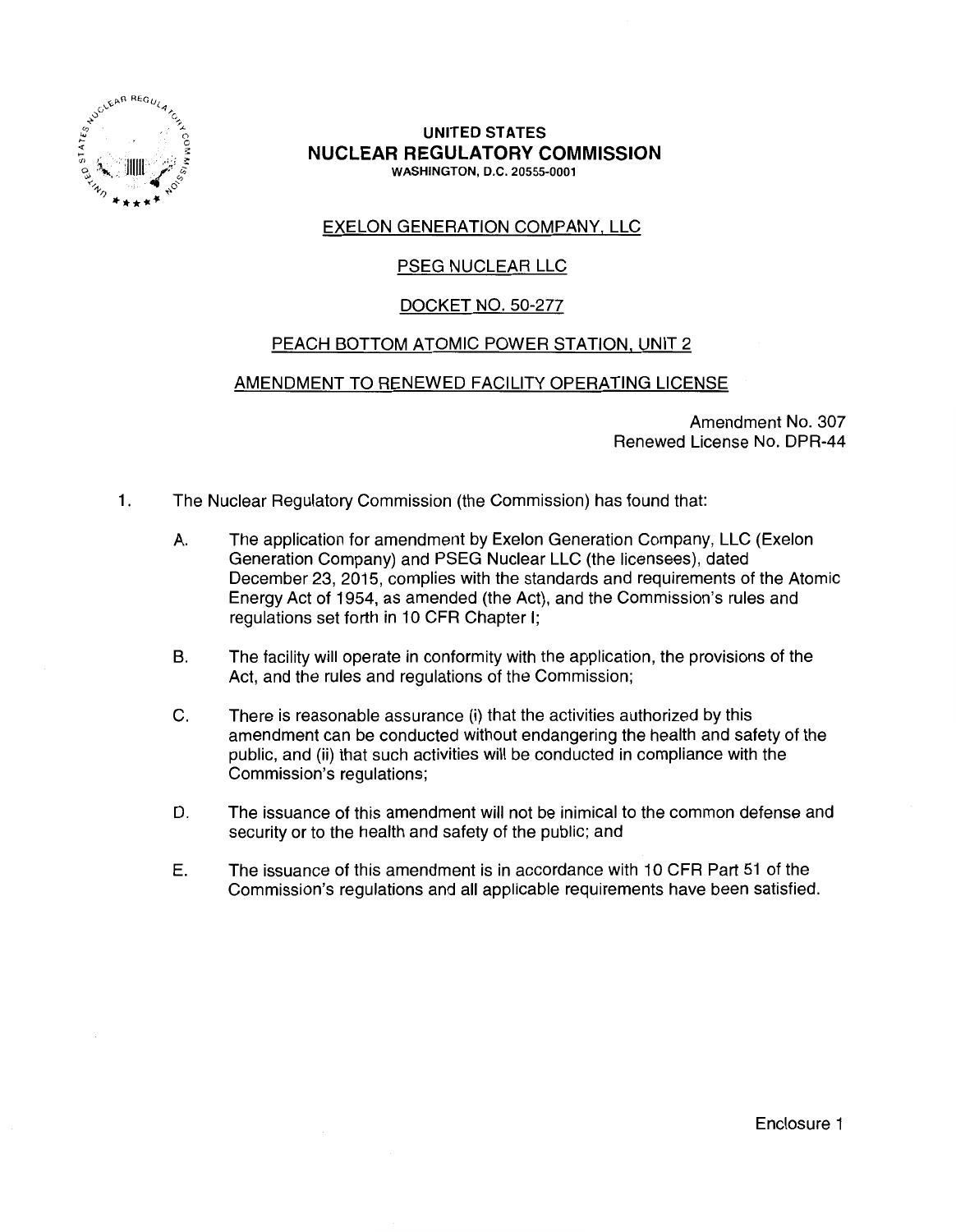

#### **UNITED STATES NUCLEAR REGULATORY COMMISSION**  WASHINGTON, D.C. 20555-0001

## EXELON GENERATION COMPANY, LLC

## PSEG NUCLEAR LLC

## DOCKET NO. 50-277

## PEACH BOTTOM ATOMIC POWER STATION, UNIT 2

### AMENDMENT TO RENEWED FACILITY OPERATING LICENSE

Amendment No. 307 Renewed License No. DPR-44

- 1. The Nuclear Regulatory Commission (the Commission) has found that:
	- A. The application for amendment by Exelon Generation Company, LLC (Exelon Generation Company) and PSEG Nuclear LLC (the licensees), dated December 23, 2015, complies with the standards and requirements of the Atomic Energy Act of 1954, as amended (the Act), and the Commission's rules and regulations set forth in 10 CFR Chapter I;
	- B. The facility will operate in conformity with the application, the provisions of the Act, and the rules and regulations of the Commission;
	- C. There is reasonable assurance (i) that the activities authorized by this amendment can be conducted without endangering the health and safety of the public, and (ii) that such activities will be conducted in compliance with the Commission's regulations;
	- D. The issuance of this amendment will not be inimical to the common defense and security or to the health and safety of the public; and
	- E. The issuance of this amendment is in accordance with 10 CFR Part 51 of the Commission's regulations and all applicable requirements have been satisfied.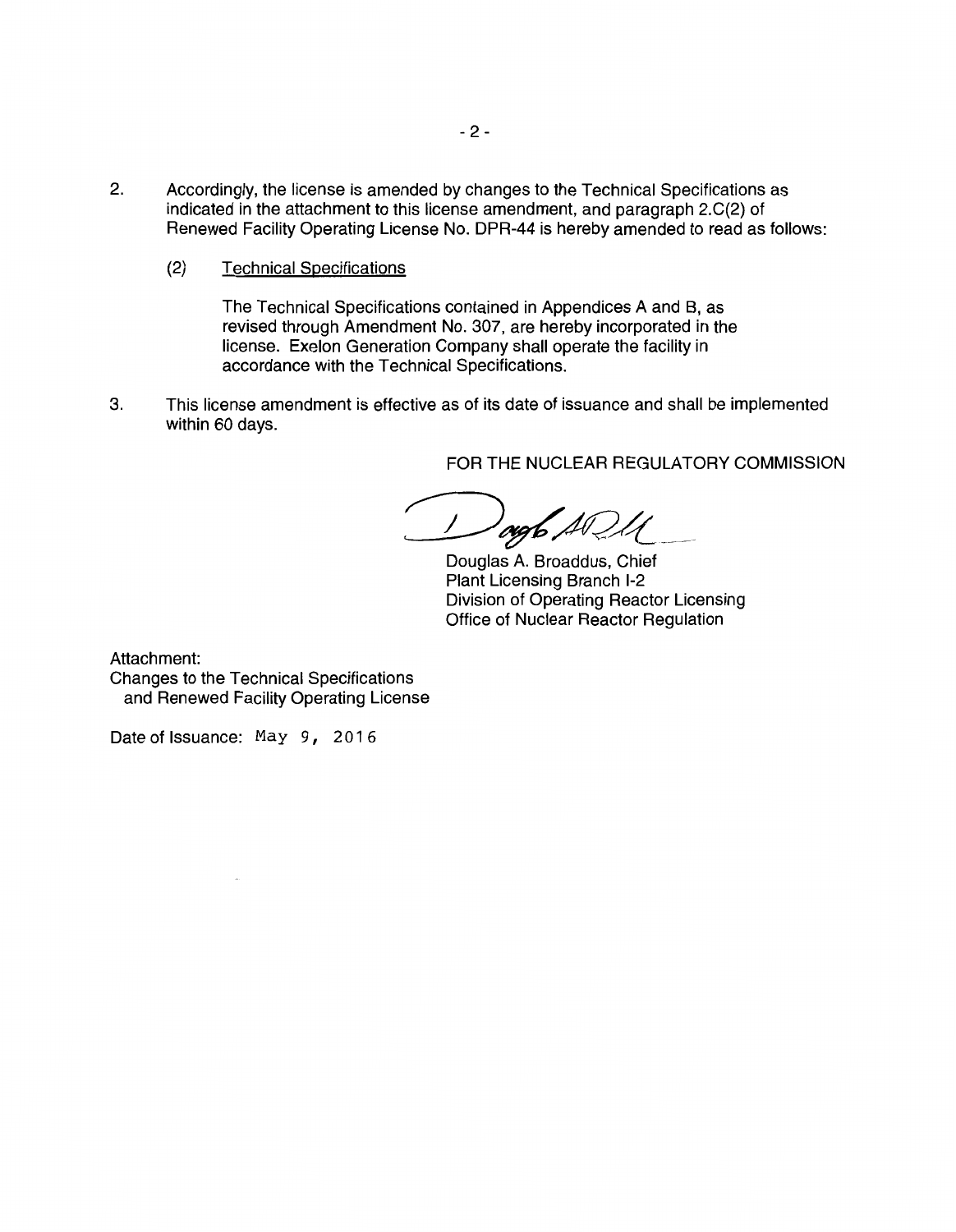- 2. Accordingly, the license is amended by changes to the Technical Specifications as indicated in the attachment to this license amendment, and paragraph 2.C(2) of Renewed Facility Operating License No. DPR-44 is hereby amended to read as follows:
	- (2) Technical Specifications

The Technical Specifications contained in Appendices A and B, as revised through Amendment No. 307, are hereby incorporated in the license. Exelon Generation Company shall operate the facility in accordance with the Technical Specifications.

3. This license amendment is effective as of its date of issuance and shall be implemented within 60 days.

FOR THE NUCLEAR REGULATORY COMMISSION

 $^{\prime}$ ogb  $\cancel{AQ}$  .

Douglas A. Broaddus, Chief Plant Licensing Branch 1-2 Division of Operating Reactor Licensing Office of Nuclear Reactor Regulation

Attachment:

Changes to the Technical Specifications and Renewed Facility Operating License

Date of Issuance: May 9, 2016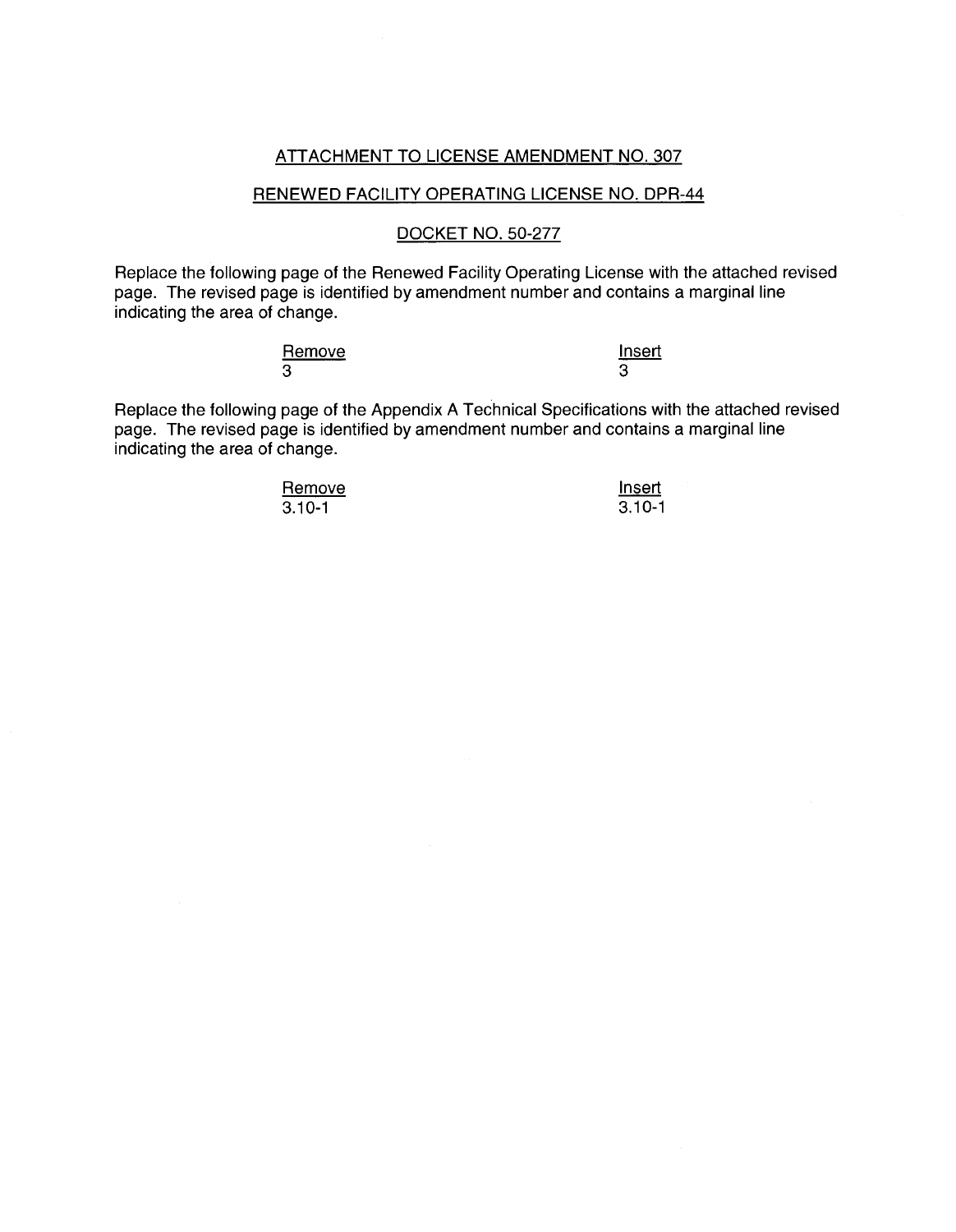#### ATTACHMENT TO LICENSE AMENDMENT NO. 307

#### RENEWED FACILITY OPERATING LICENSE NO. DPR-44

#### DOCKET NO. 50-277

Replace the following page of the Renewed Facility Operating License with the attached revised page. The revised page is identified by amendment number and contains a marginal line indicating the area of change.

| Remove | <b>Insert</b> |
|--------|---------------|
| 3      |               |

Replace the following page of the Appendix A Technical Specifications with the attached revised page. The revised page is identified by amendment number and contains a marginal line indicating the area of change.

> **Remove**  $3.10 - 1$

Insert 3.10-1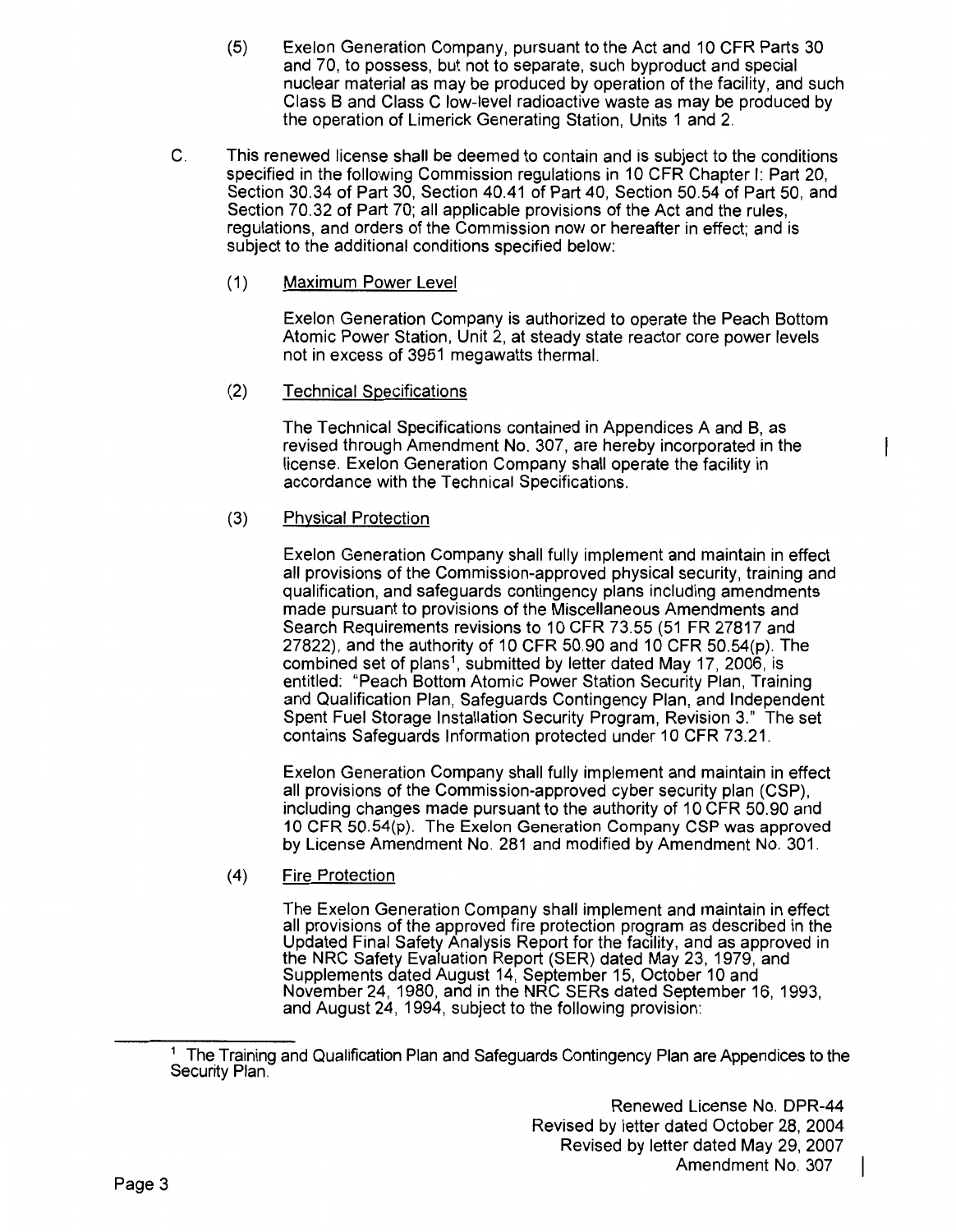- (5) Exelon Generation Company, pursuant to the Act and 10 CFR Parts 30 and 70, to possess, but not to separate, such byproduct and special nuclear material as may be produced by operation of the facility, and such Class B and Class C low-level radioactive waste as may be produced by the operation of Limerick Generating Station, Units 1 and 2.
- C. This renewed license shall be deemed to contain and is subject to the conditions specified in the following Commission regulations in 10 CFR Chapter I: Part 20, Section 30.34 of Part 30, Section 40.41 of Part 40, Section 50.54 of Part 50, and Section 70.32 of Part 70; all applicable provisions of the Act and the rules, regulations, and orders of the Commission now or hereafter in effect; and is subject to the additional conditions specified below:
	- (1) Maximum Power Level

Exelon Generation Company is authorized to operate the Peach Bottom Atomic Power Station, Unit 2, at steady state reactor core power levels not in excess of 3951 megawatts thermal.

(2) Technical Specifications

The Technical Specifications contained in Appendices A and B, as revised through Amendment No. 307, are hereby incorporated in the license. Exelon Generation Company shall operate the facility in accordance with the Technical Specifications.

(3) Physical Protection

Exelon Generation Company shall fully implement and maintain in effect all provisions of the Commission-approved physical security, training and qualification, and safeguards contingency plans including amendments made pursuant to provisions of the Miscellaneous Amendments and Search Requirements revisions to 10 CFR 73.55 (51 FR 27817 and 27822), and the authority of 10 CFR 50.90 and 10 CFR 50.54(p). The combined set of plans<sup>1</sup>, submitted by letter dated May 17, 2006, is entitled: "Peach Bottom Atomic Power Station Security Plan, Training and Qualification Plan, Safeguards Contingency Plan, and Independent Spent Fuel Storage Installation Security Program, Revision 3." The set contains Safeguards Information protected under 10 CFR 73.21.

Exelon Generation Company shall fully implement and maintain in effect all provisions of the Commission-approved cyber security plan (CSP), including changes made pursuant to the authority of 10 CFR 50.90 and 10 CFR 50.54(p). The Exelon Generation Company CSP was approved by License Amendment No. 281 and modified by Amendment No. 301.

(4) Fire Protection

The Exelon Generation Company shall implement and maintain in effect all provisions of the approved fire protection program as described in the Updated Final Safety Analysis Report for the facility, and as approved in the NRC Safety Evaluation Report (SER) dated May 23, 1979, and Supplements dated August 14, September 15, October 10 and November 24, 1980, and in the NRC SERs dated September 16, 1993, and August 24, 1994, subject to the following provision:

Renewed License No. DPR-44 Revised by letter dated October 28, 2004 Revised by letter dated May 29, 2007 Amendment No. 307

I

<sup>&</sup>lt;sup>1</sup> The Training and Qualification Plan and Safeguards Contingency Plan are Appendices to the Security Plan.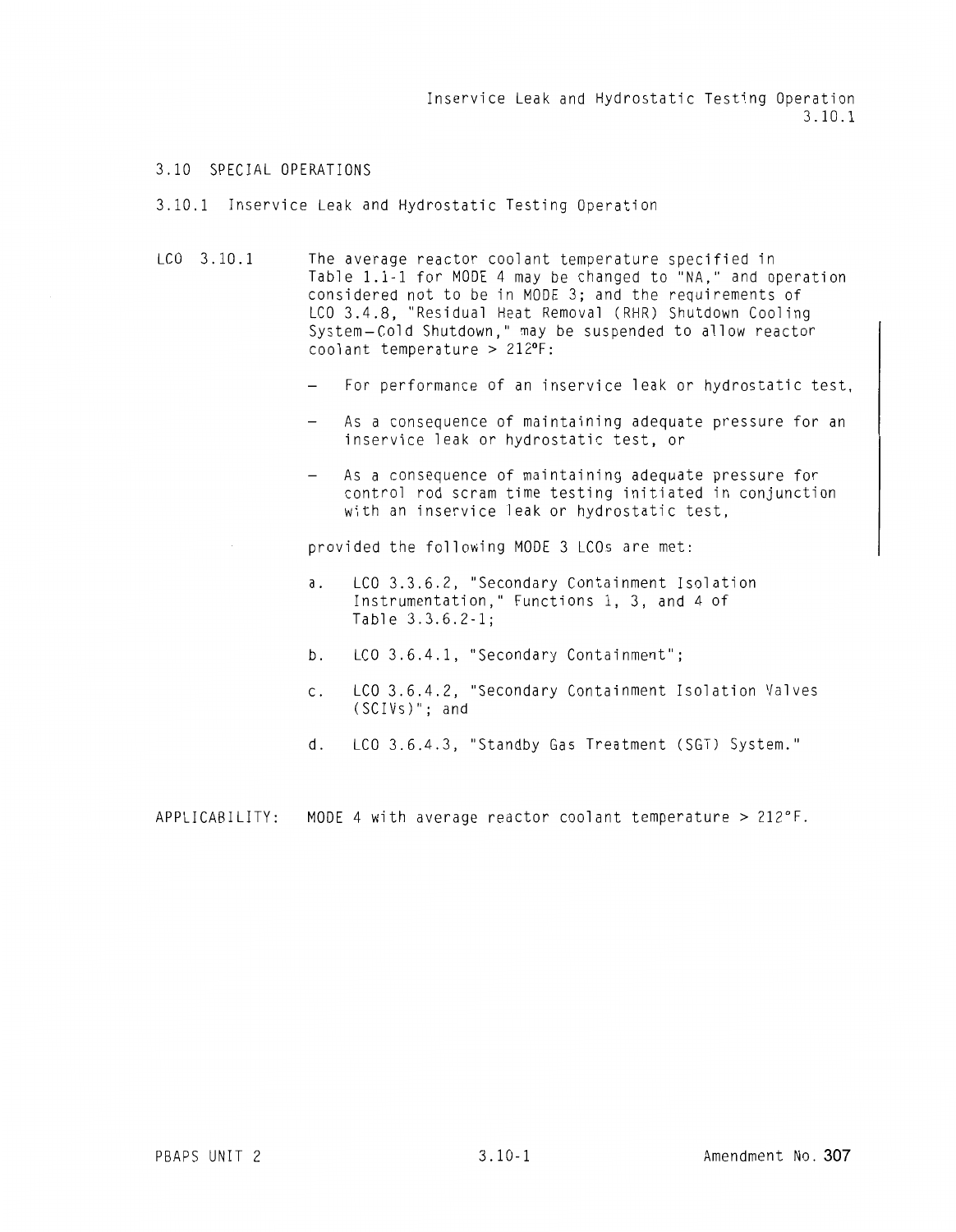Inservice Leak and Hydrostatic Testing Operation 3.10.1

#### 3.10 SPECIAL OPERATIONS

#### 3.10.1 Inservice Leak and Hydrostatic Testing Operation

- LCO 3.10.1 The average reactor coolant temperature specified in Table 1.1-1 for MODE 4 may be changed to "NA," and operation considered not to be in MODE 3; and the requirements of LCO 3.4.8, "Residual Heat Removal (RHR) Shutdown Cooling System-Cold Shutdown," may be suspended to allow reactor coolant temperature  $> 212$ °F:
	- For performance of an inservice leak or hydrostatic test,
	- As a consequence of maintaining adequate pressure for an inservice leak or hydrostatic test, or
	- As a consequence of maintaining adequate pressure for control rod scram time testing initiated in conjunction with an inservice leak or hydrostatic test,

provided the following MODE 3 LCOs are met:

- a. LCO 3.3.6.2, "Secondary Containment Isolation Instrumentation," Functions 1, 3, and 4 of Table 3.3.6.2-1;
- b. LCO 3.6.4.1, "Secondary Containment";
- c. LCO 3.6.4.2, "Secondary Containment Isolation Valves (SCIVs)"; and
- d. LCO 3.6.4.3, "Standby Gas Treatment (SGT) System."

APPLICABILITY: MODE 4 with average reactor coolant temperature> 212°F.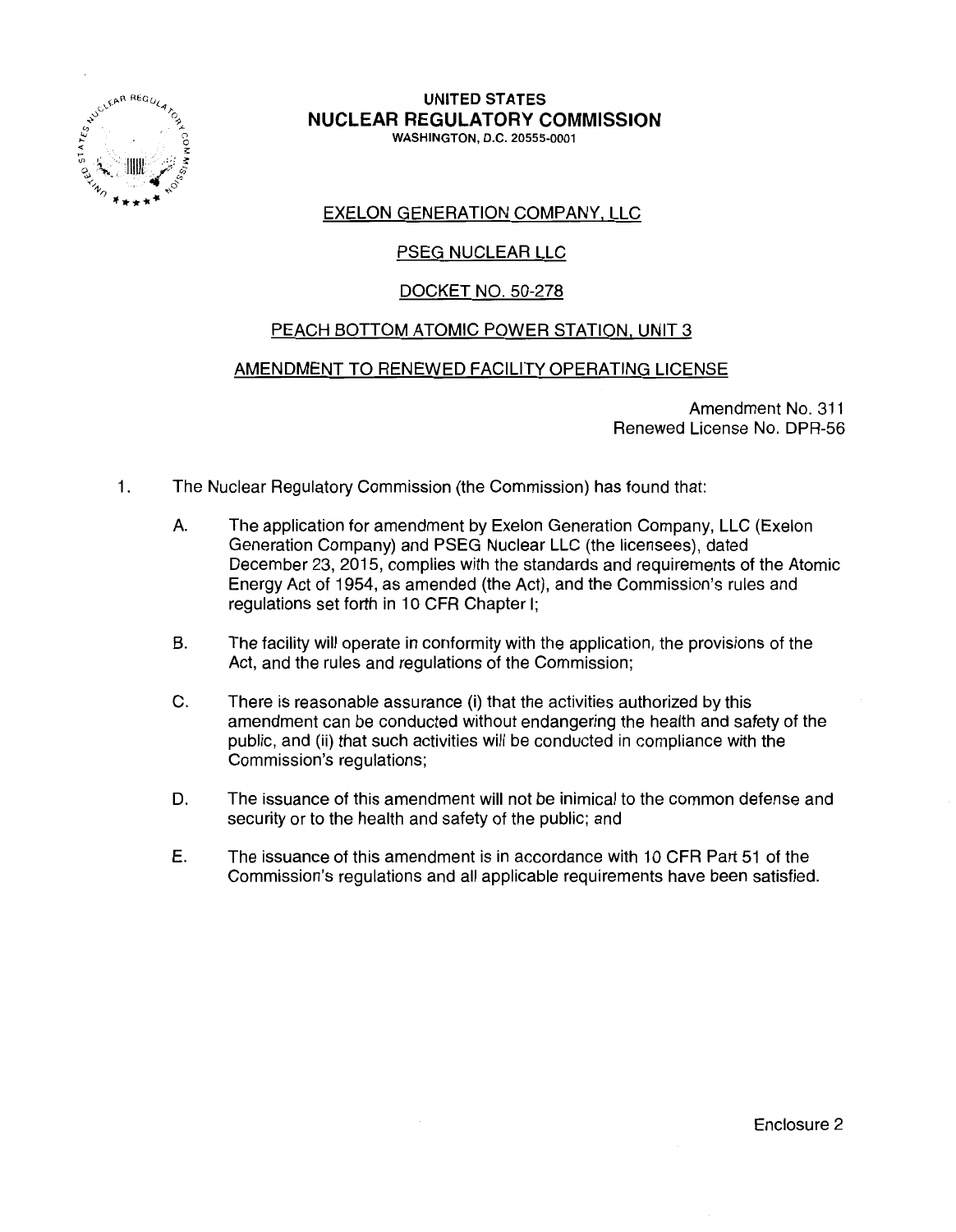

# **UNITED STATES NUCLEAR REGULATORY COMMISSION**

WASHINGTON, D.C. 20555-0001

## EXELON GENERATION COMPANY, LLC

## PSEG NUCLEAR LLC

## DOCKET NO. 50-278

## PEACH BOTTOM ATOMIC POWER STATION. UNIT 3

## AMENDMENT TO RENEWED FACILITY OPERATING LICENSE

Amendment No. 311 Renewed License No. DPR-56

- 1. The Nuclear Regulatory Commission (the Commission) has found that:
	- A. The application for amendment by Exelon Generation Company, LLC (Exelon Generation Company) and PSEG Nuclear LLC (the licensees), dated December 23, 2015, complies with the standards and requirements of the Atomic Energy Act of 1954, as amended (the Act), and the Commission's rules and regulations set forth in 10 CFR Chapter I;
	- B. The facility will operate in conformity with the application, the provisions of the Act, and the rules and regulations of the Commission;
	- C. There is reasonable assurance (i) that the activities authorized by this amendment can be conducted without endangering the health and safety of the public, and (ii) that such activities will be conducted in compliance with the Commission's regulations;
	- D. The issuance of this amendment will not be inimical to the common defense and security or to the health and safety of the public; and
	- E. The issuance of this amendment is in accordance with 1 O CFR Part 51 of the Commission's regulations and all applicable requirements have been satisfied.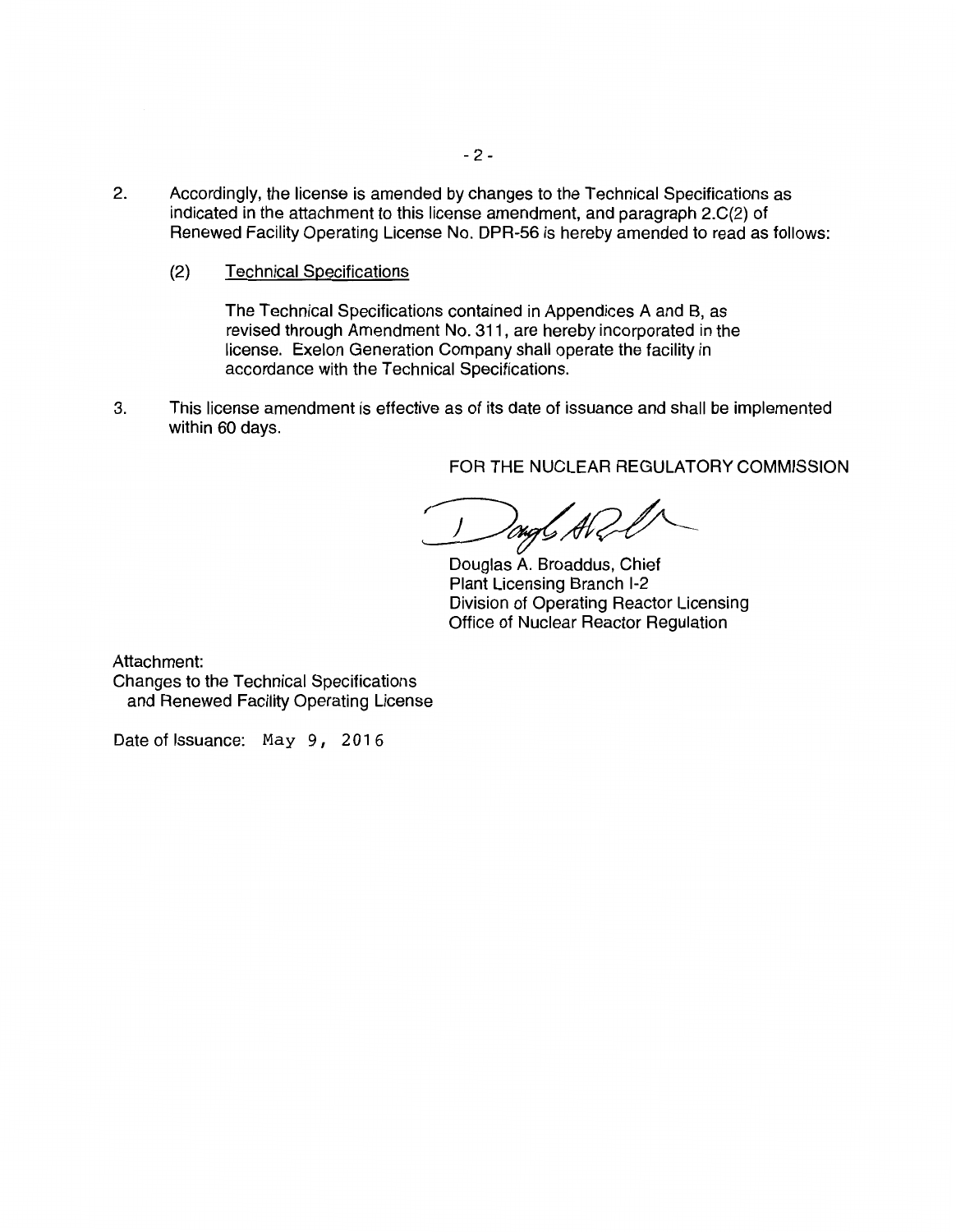- 2. Accordingly, the license is amended by changes to the Technical Specifications as indicated in the attachment to this license amendment, and paragraph 2.C(2) of Renewed Facility Operating License No. DPR-56 is hereby amended to read as follows:
	- (2) Technical Specifications

The Technical Specifications contained in Appendices A and B, as revised through Amendment No. 311, are hereby incorporated in the license. Exelon Generation Company shall operate the facility in accordance with the Technical Specifications.

3. This license amendment is effective as of its date of issuance and shall be implemented within 60 days.

FOR THE NUCLEAR REGULATORY COMMISSION

!ongC A1<

Douglas A. Broaddus, Chief Plant Licensing Branch 1-2 Division of Operating Reactor Licensing Office of Nuclear Reactor Regulation

Attachment: Changes to the Technical Specifications and Renewed Facility Operating License

Date of Issuance: May 9, 2016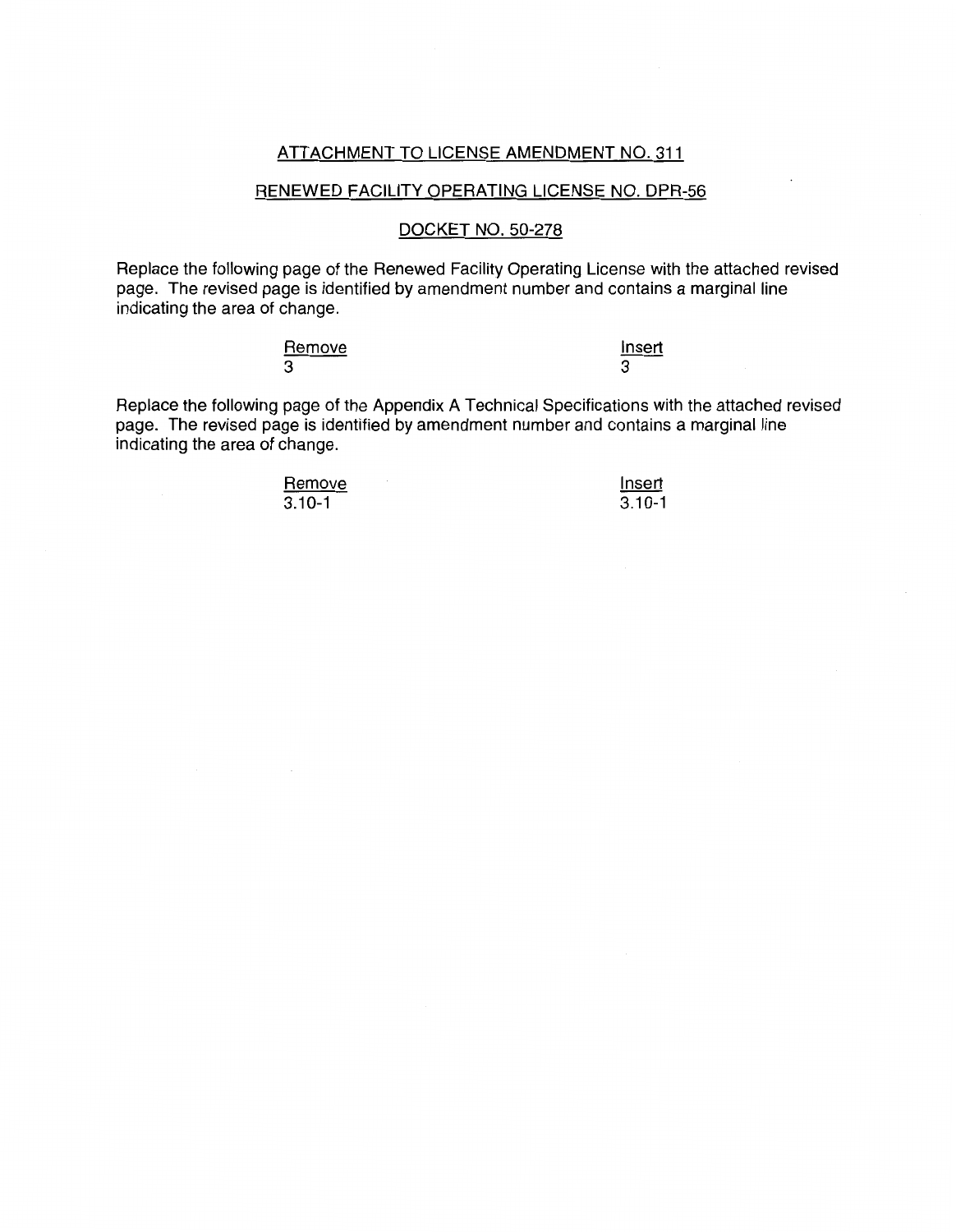#### ATTACHMENT TO LICENSE AMENDMENT NO. 311

#### RENEWED FACILITY OPERATING LICENSE NO. DPR-56

#### DOCKET NO. 50-278

Replace the following page of the Renewed Facility Operating License with the attached revised page. The revised page is identified by amendment number and contains a marginal line indicating the area of change.

| Remove | insert |
|--------|--------|
| 3      |        |

Replace the following page of the Appendix A Technical Specifications with the attached revised page. The revised page is identified by amendment number and contains a marginal line indicating the area of change.

> **Remove**  $3.10 - 1$

**Insert**  $3.10 - 1$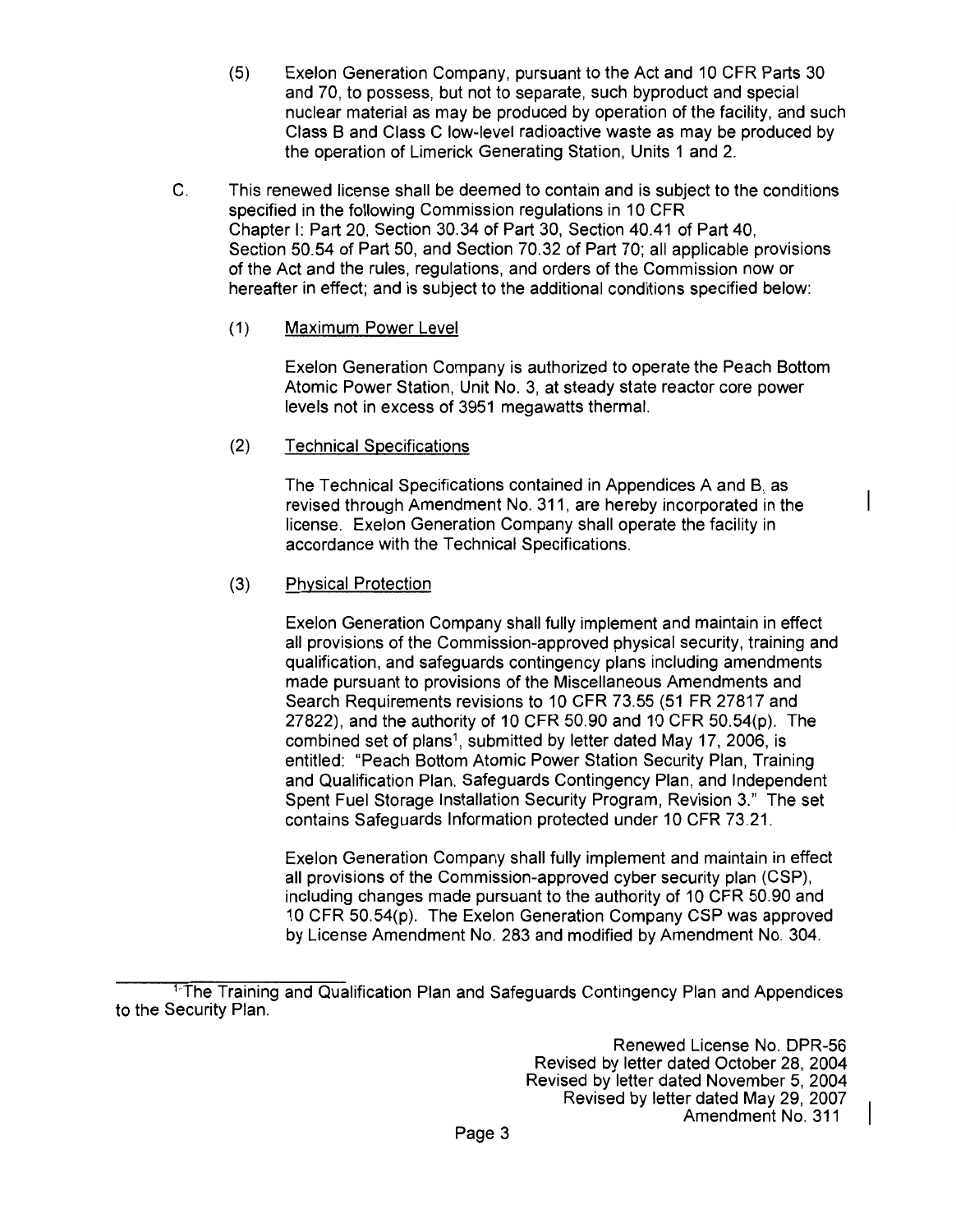- (5) Exelon Generation Company, pursuant to the Act and 10 CFR Parts 30 and 70, to possess, but not to separate, such byproduct and special nuclear material as may be produced by operation of the facility, and such Class B and Class C low-level radioactive waste as may be produced by the operation of Limerick Generating Station, Units 1 and 2.
- C. This renewed license shall be deemed to contain and is subject to the conditions specified in the following Commission regulations in 10 CFR Chapter I: Part 20, Section 30.34 of Part 30, Section 40.41 of Part 40, Section 50.54 of Part 50, and Section 70.32 of Part 70; all applicable provisions of the Act and the rules, regulations, and orders of the Commission now or hereafter in effect; and is subject to the additional conditions specified below:
	- (1) Maximum Power Level

Exelon Generation Company is authorized to operate the Peach Bottom Atomic Power Station, Unit No. 3, at steady state reactor core power levels not in excess of 3951 megawatts thermal.

(2) Technical Specifications

The Technical Specifications contained in Appendices A and B, as revised through Amendment No. 311, are hereby incorporated in the license. Exelon Generation Company shall operate the facility in accordance with the Technical Specifications.

## (3) Physical Protection

Exelon Generation Company shall fully implement and maintain in effect all provisions of the Commission-approved physical security, training and qualification, and safeguards contingency plans including amendments made pursuant to provisions of the Miscellaneous Amendments and Search Requirements revisions to 10 CFR 73.55 (51 FR 27817 and 27822), and the authority of 10 CFR 50.90 and 10 CFR 50.54(p). The combined set of plans<sup>1</sup>, submitted by letter dated May 17, 2006, is entitled: "Peach Bottom Atomic Power Station Security Plan, Training and Qualification Plan, Safeguards Contingency Plan, and Independent Spent Fuel Storage Installation Security Program, Revision 3." The set contains Safeguards Information protected under 10 CFR 73.21.

Exelon Generation Company shall fully implement and maintain in effect all provisions of the Commission-approved cyber security plan (CSP), including changes made pursuant to the authority of 10 CFR 50.90 and 10 CFR 50.54(p). The Exelon Generation Company CSP was approved by License Amendment No. 283 and modified by Amendment No. 304.

<sup>&</sup>lt;sup>1-</sup>The Training and Qualification Plan and Safeguards Contingency Plan and Appendices to the Security Plan.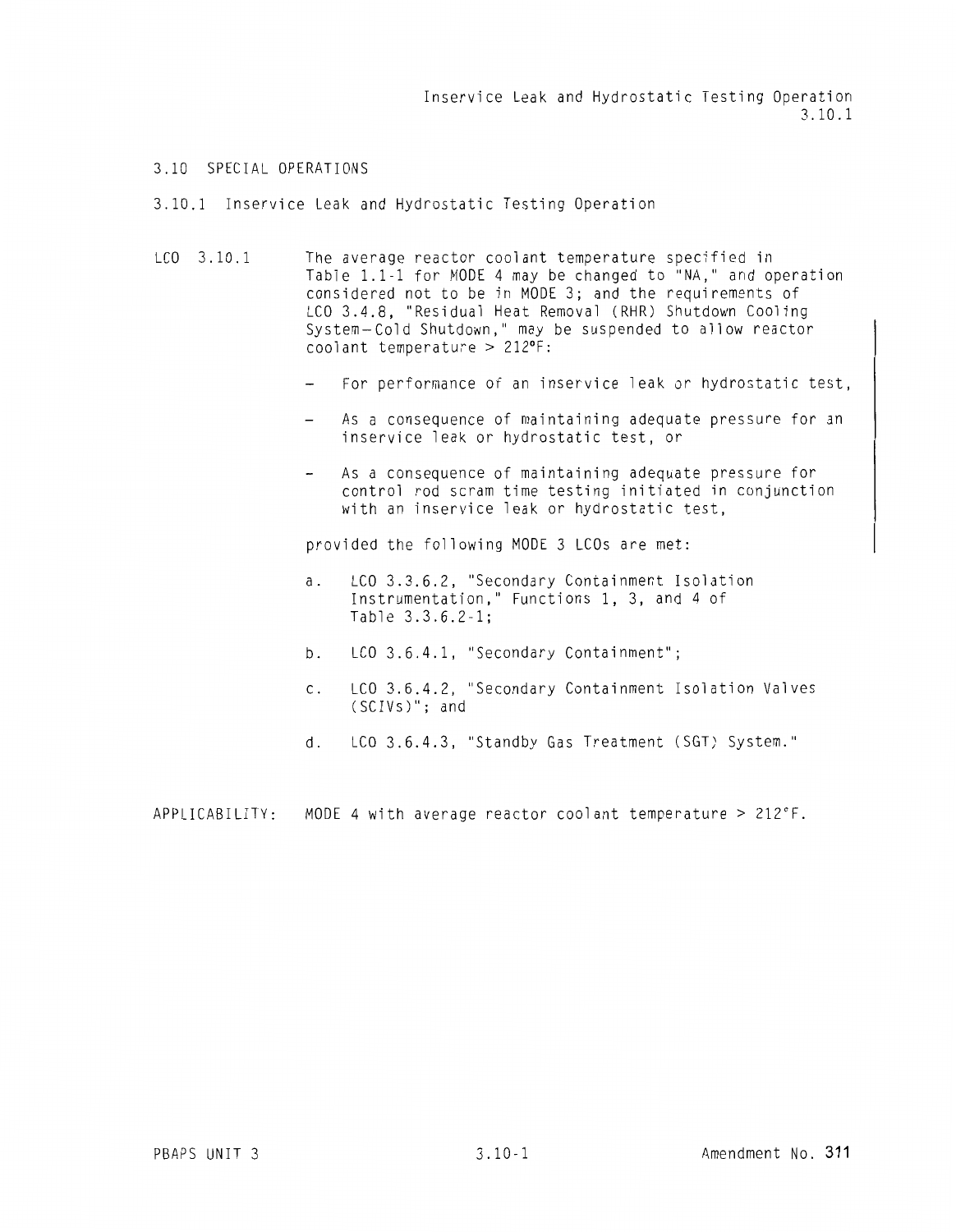Inservice Leak and Hydrostatic Testing Operation 3.10.1

#### 3.10 SPECIAL OPERATIONS

3.10.1 Inservice Leak and Hydrostatic Testing Operation

- LCO 3.10.1 The average reactor coolant temperature specified in Table 1.1-1 for MODE 4 may be changed to "NA," and operation considered not to be in MODE 3; and the requirements of LCO 3.4.8, "Residual Heat Removal (RHR) Shutdown Cooling System-Cold Shutdown," may be suspended to allow reactor  $\frac{1}{2}$ coolant temperature > 212°F:
	- For performance of an inservice leak or hydrostatic test,
	- As a consequence of maintaining adequate pressure for an inservice leak or hydrostatic test, or
	- As a consequence of maintaining adequate pressure for control rod scram time testing initiated in conjunction with an inservice leak or hydrostatic test,

provided the following MODE 3 LCOs are met:

- a. LCO 3.3.6.2, "Secondary Containment Isolation Instrumentation," Functions 1, 3, and 4 of Table 3.3.6.2-1;
- b. LCO 3.6.4.1, "Secondary Containment";
- c. LCO 3.6.4.2, "Secondary Containment Isolation Valves (SCIVs)"; and
- d. LCO 3.6.4.3, "Standby Gas Treatment (SGT) System."

APPLICABILITY: MODE 4 with average reactor coolant temperature > 212°F.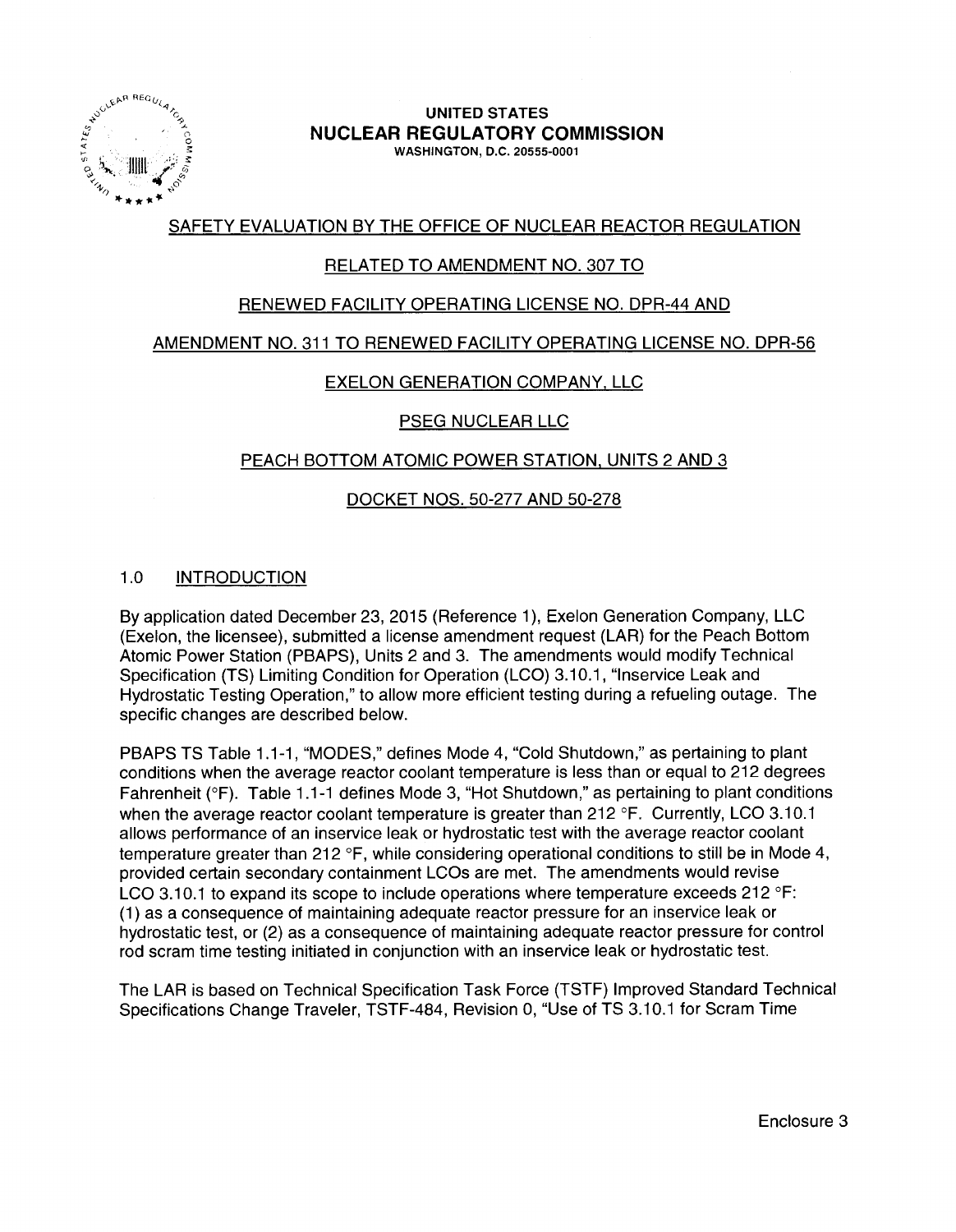

#### UNITED STATES NUCLEAR REGULATORY COMMISSION WASHINGTON, D.C. 20555-0001

## SAFETY EVALUATION BY THE OFFICE OF NUCLEAR REACTOR REGULATION

## RELATED TO AMENDMENT NO. 307 TO

## RENEWED FACILITY OPERATING LICENSE NO. DPR-44 AND

### AMENDMENT NO. 311 TO RENEWED FACILITY OPERATING LICENSE NO. DPR-56

## EXELON GENERATION COMPANY. LLC

## PSEG NUCLEAR LLC

## PEACH BOTTOM ATOMIC POWER STATION, UNITS 2 AND 3

## DOCKET NOS. 50-277 AND 50-278

## 1.0 INTRODUCTION

By application dated December 23, 2015 (Reference 1 ), Exelon Generation Company, LLC (Exelon, the licensee), submitted a license amendment request (LAR) for the Peach Bottom Atomic Power Station (PBAPS), Units 2 and 3. The amendments would modify Technical Specification (TS) Limiting Condition for Operation (LCO) 3.10.1, "lnservice Leak and Hydrostatic Testing Operation," to allow more efficient testing during a refueling outage. The specific changes are described below.

PBAPS TS Table 1.1-1, "MODES," defines Mode 4, "Cold Shutdown," as pertaining to plant conditions when the average reactor coolant temperature is less than or equal to 212 degrees Fahrenheit (°F). Table 1.1-1 defines Mode 3, "Hot Shutdown," as pertaining to plant conditions when the average reactor coolant temperature is greater than 212 °F. Currently, LCO 3.10.1 allows performance of an inservice leak or hydrostatic test with the average reactor coolant temperature greater than 212 °F, while considering operational conditions to still be in Mode 4, provided certain secondary containment LCOs are met. The amendments would revise LCO 3.10.1 to expand its scope to include operations where temperature exceeds 212  $\textdegree$ F: (1) as a consequence of maintaining adequate reactor pressure for an inservice leak or hydrostatic test, or (2) as a consequence of maintaining adequate reactor pressure for control rod scram time testing initiated in conjunction with an inservice leak or hydrostatic test.

The LAR is based on Technical Specification Task Force (TSTF) Improved Standard Technical Specifications Change Traveler, TSTF-484, Revision 0, "Use of TS 3.10.1 for Scram Time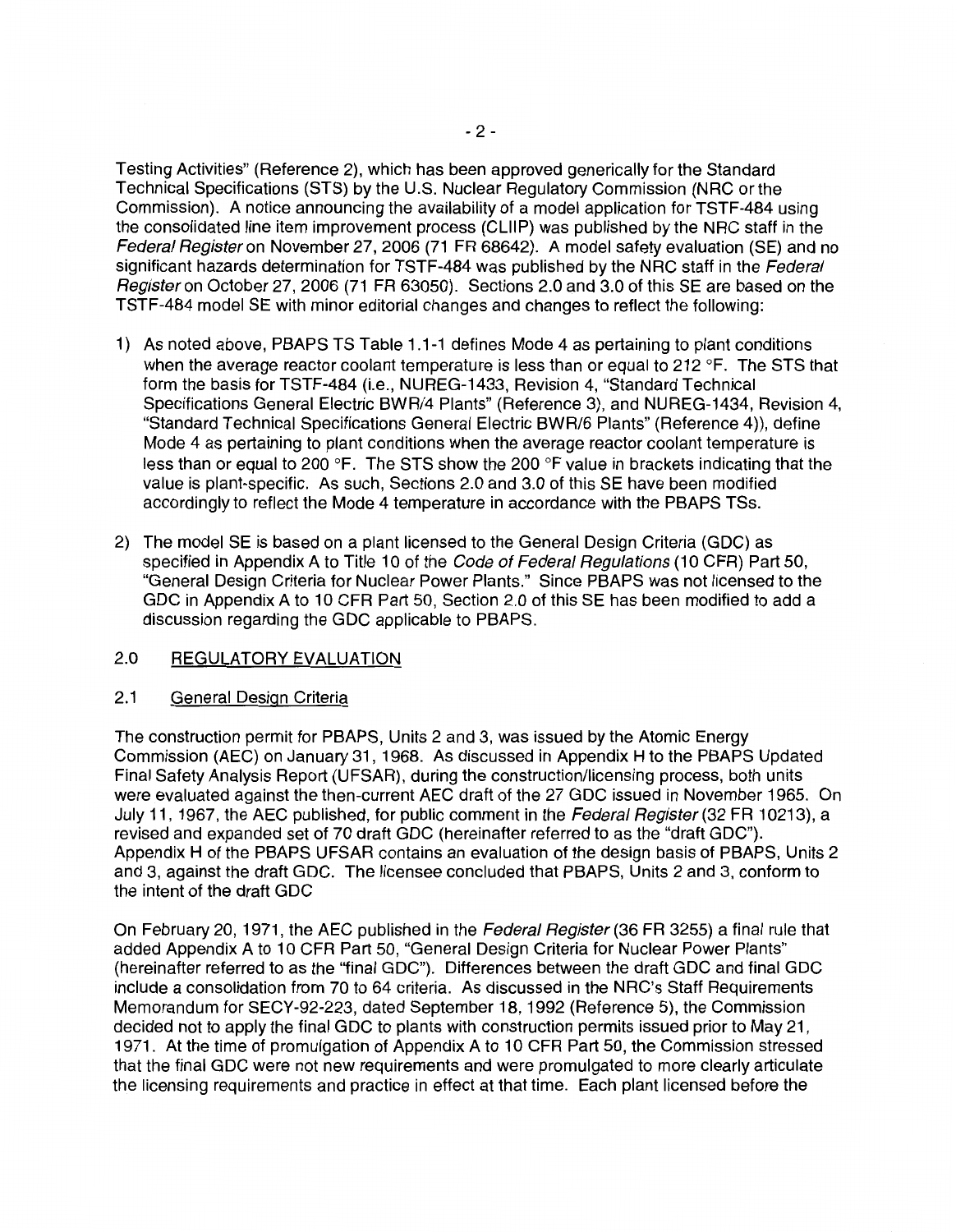Testing Activities" (Reference 2), which has been approved generically for the Standard Technical Specifications (STS) by the U.S. Nuclear Regulatory Commission (NRC or the Commission). A notice announcing the availability of a model application for TSTF-484 using the consolidated line item improvement process (CLllP) was published by the NRC staff in the Federal Register on November 27, 2006 (71 FR 68642). A model safety evaluation (SE) and no significant hazards determination for TSTF-484 was published by the NRC staff in the Federal Register on October 27, 2006 (71 FR 63050). Sections 2.0 and 3.0 of this SE are based on the TSTF-484 model SE with minor editorial changes and changes to reflect the following:

- 1) As noted above, PBAPS TS Table 1.1-1 defines Mode 4 as pertaining to plant conditions when the average reactor coolant temperature is less than or equal to 212 °F. The STS that form the basis for TSTF-484 (i.e., NUREG-1433, Revision 4, "Standard Technical Specifications General Electric BWR/4 Plants" (Reference 3), and NUREG-1434, Revision 4, "Standard Technical Specifications General Electric BWR/6 Plants" (Reference 4)), define Mode 4 as pertaining to plant conditions when the average reactor coolant temperature is less than or equal to 200 °F. The STS show the 200 °F value in brackets indicating that the value is plant-specific. As such, Sections 2.0 and 3.0 of this SE have been modified accordingly to reflect the Mode 4 temperature in accordance with the PBAPS TSs.
- 2) The model SE is based on a plant licensed to the General Design Criteria (GDC) as specified in Appendix A to Title 10 of the Code of Federal Regulations (10 CFR) Part 50, "General Design Criteria for Nuclear Power Plants." Since PBAPS was not licensed to the GDC in Appendix A to 10 CFR Part 50, Section 2.0 of this SE has been modified to add a discussion regarding the GDC applicable to PBAPS.

#### 2.0 REGULATORY EVALUATION

#### 2.1 General Design Criteria

The construction permit for PBAPS, Units 2 and 3, was issued by the Atomic Energy Commission (AEC) on January 31, 1968. As discussed in Appendix H to the PBAPS Updated Final Safety Analysis Report (UFSAR), during the construction/licensing process, both units were evaluated against the then-current AEC draft of the 27 GDC issued in November 1965. On July 11, 1967, the AEC published, for public comment in the Federal Register (32 FR 10213), a revised and expanded set of 70 draft GDC (hereinafter referred to as the "draft GDC"). Appendix H of the PBAPS UFSAR contains an evaluation of the design basis of PBAPS, Units 2 and 3, against the draft GDC. The licensee concluded that PBAPS, Units 2 and 3, conform to the intent of the draft GDC

On February 20, 1971, the AEC published in the Federal Register (36 FR 3255) a final rule that added Appendix A to 10 CFR Part 50, "General Design Criteria for Nuclear Power Plants" (hereinafter referred to as the "final GDC"). Differences between the draft GDC and final GDC include a consolidation from 70 to 64 criteria. As discussed in the NRC's Staff Requirements Memorandum for SECY-92-223, dated September 18, 1992 (Reference 5), the Commission decided not to apply the final GDC to plants with construction permits issued prior to May 21, 1971. At the time of promulgation of Appendix A to 10 CFR Part 50, the Commission stressed that the final GDC were not new requirements and were promulgated to more clearly articulate the licensing requirements and practice in effect at that time. Each plant licensed before the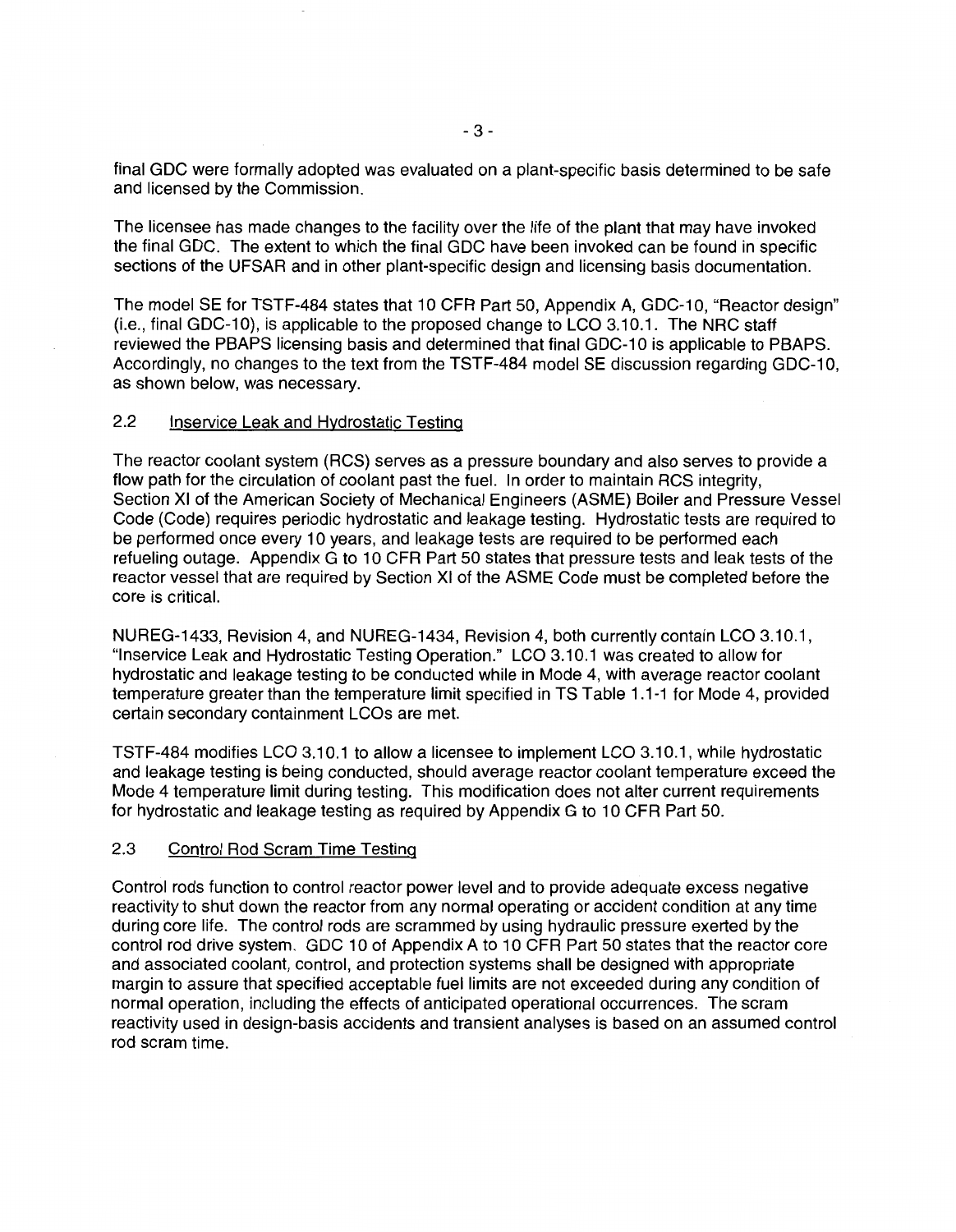final GDC were formally adopted was evaluated on a plant-specific basis determined to be safe and licensed by the Commission.

The licensee has made changes to the facility over the life of the plant that may have invoked the final GDC. The extent to which the final GDC have been invoked can be found in specific sections of the UFSAR and in other plant-specific design and licensing basis documentation.

The model SE for TSTF-484 states that 10 CFR Part 50, Appendix A, GDC-10, "Reactor design" (i.e., final GDC-10), is applicable to the proposed change to LCO 3.10.1. The NRC staff reviewed the PBAPS licensing basis and determined that final GDC-1 O is applicable to PBAPS. Accordingly, no changes to the text from the TSTF-484 model SE discussion regarding GDC-10. as shown below, was necessary.

#### 2.2 lnservice Leak and Hydrostatic Testing

The reactor coolant system (RCS) serves as a pressure boundary and also serves to provide a flow path for the circulation of coolant past the fuel. In order to maintain RCS integrity, Section XI of the American Society of Mechanical Engineers (ASME) Boiler and Pressure Vessel Code (Code) requires periodic hydrostatic and leakage testing. Hydrostatic tests are required to be performed once every 10 years, and leakage tests are required to be performed each refueling outage. Appendix G to 10 CFR Part 50 states that pressure tests and leak tests of the reactor vessel that are required by Section XI of the ASME Code must be completed before the core is critical.

NUREG-1433, Revision 4, and NUREG-1434, Revision 4, both currently contain LCO 3.10.1, "lnservice Leak and Hydrostatic Testing Operation." LCO 3.10.1 was created to allow for hydrostatic and leakage testing to be conducted while in Mode 4, with average reactor coolant temperature greater than the temperature limit specified in TS Table 1.1-1 for Mode 4, provided certain secondary containment LCOs are met.

TSTF-484 modifies LCO 3.10.1 to allow a licensee to implement LCO 3.10.1, while hydrostatic and leakage testing is being conducted, should average reactor coolant temperature exceed the Mode 4 temperature limit during testing. This modification does not alter current requirements for hydrostatic and leakage testing as required by Appendix G to 10 CFR Part 50.

#### 2.3 Control Rod Scram Time Testing

Control rods function to control reactor power level and to provide adequate excess negative reactivity to shut down the reactor from any normal operating or accident condition at any time during core life. The control rods are scrammed by using hydraulic pressure exerted by the control rod drive system. GDC 10 of Appendix A to 10 CFR Part 50 states that the reactor core and associated coolant, control, and protection systems shall be designed with appropriate margin to assure that specified acceptable fuel limits are not exceeded during any condition of normal operation, including the effects of anticipated operational occurrences. The scram reactivity used in design-basis accidents and transient analyses is based on an assumed control rod scram time.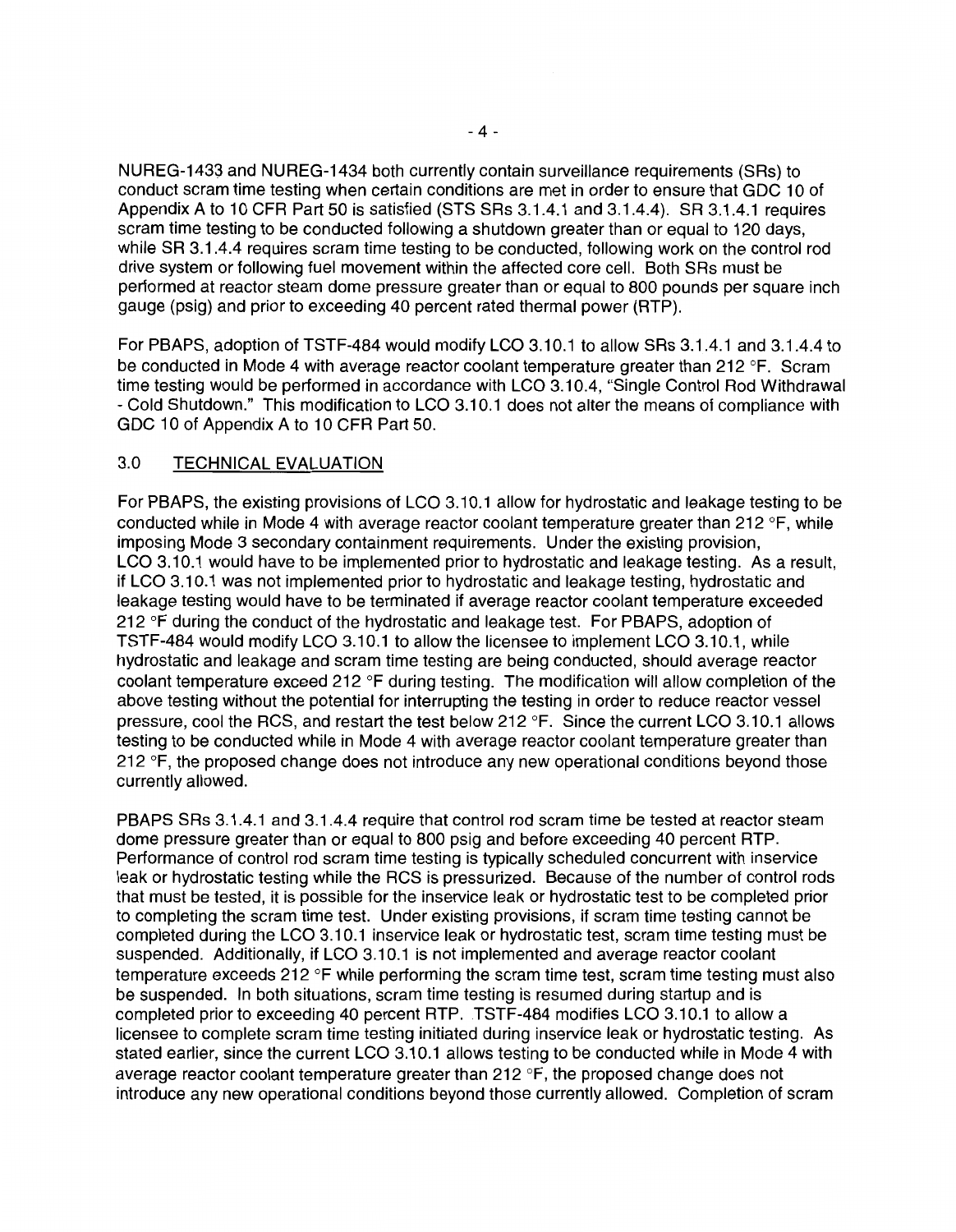NUREG-1433 and NUREG-1434 both currently contain surveillance requirements (SRs) to conduct scram time testing when certain conditions are met in order to ensure that GDC 10 of Appendix A to 10 CFR Part 50 is satisfied (STS SRs 3.1.4.1 and 3.1.4.4). SR 3.1.4.1 requires scram time testing to be conducted following a shutdown greater than or equal to 120 days, while SR 3.1.4.4 requires scram time testing to be conducted, following work on the control rod drive system or following fuel movement within the affected core cell. Both SRs must be performed at reactor steam dome pressure greater than or equal to 800 pounds per square inch gauge (psig) and prior to exceeding 40 percent rated thermal power (RTP).

For PBAPS, adoption of TSTF-484 would modify LCO 3.10.1 to allow SRs 3.1.4.1 and 3.1.4.4 to be conducted in Mode 4 with average reactor coolant temperature greater than 212 °F. Scram time testing would be performed in accordance with LCO 3.10.4, "Single Control Rod Withdrawal - Cold Shutdown." This modification to LCO 3.10.1 does not alter the means of compliance with GDC 10 of Appendix A to 10 CFR Part 50.

## 3.0 TECHNICAL EVALUATION

For PBAPS, the existing provisions of LCO 3.10.1 allow for hydrostatic and leakage testing to be conducted while in Mode 4 with average reactor coolant temperature greater than 212 °F, while imposing Mode 3 secondary containment requirements. Under the existing provision, LCO 3.10.1 would have to be implemented prior to hydrostatic and leakage testing. As a result, if LCO 3.10.1 was not implemented prior to hydrostatic and leakage testing, hydrostatic and leakage testing would have to be terminated if average reactor coolant temperature exceeded 212 °F during the conduct of the hydrostatic and leakage test. For PBAPS, adoption of TSTF-484 would modify LCO 3.10.1 to allow the licensee to implement LCO 3.10.1, while hydrostatic and leakage and scram time testing are being conducted, should average reactor coolant temperature exceed 212 °F during testing. The modification will allow completion of the above testing without the potential for interrupting the testing in order to reduce reactor vessel pressure, cool the RCS, and restart the test below 212 °F. Since the current LCO 3.10.1 allows testing to be conducted while in Mode 4 with average reactor coolant temperature greater than 212 °F, the proposed change does not introduce any new operational conditions beyond those currently allowed.

PBAPS SRs 3.1 .4.1 and 3.1 .4.4 require that control rod scram time be tested at reactor steam dome pressure greater than or equal to 800 psig and before exceeding 40 percent RTP. Performance of control rod scram time testing is typically scheduled concurrent with inservice leak or hydrostatic testing while the RCS is pressurized. Because of the number of control rods that must be tested, it is possible for the inservice leak or hydrostatic test to be completed prior to completing the scram time test. Under existing provisions, if scram time testing cannot be completed during the LCO 3.10.1 inservice leak or hydrostatic test, scram time testing must be suspended. Additionally, if LCO 3.10.1 is not implemented and average reactor coolant temperature exceeds 212 °F while performing the scram time test, scram time testing must also be suspended. In both situations, scram time testing is resumed during startup and is completed prior to exceeding 40 percent RTP. TSTF-484 modifies LCO 3.10.1 to allow a licensee to complete scram time testing initiated during inservice leak or hydrostatic testing. As stated earlier, since the current LCO 3.10.1 allows testing to be conducted while in Mode 4 with average reactor coolant temperature greater than 212 °F, the proposed change does not introduce any new operational conditions beyond those currently allowed. Completion of scram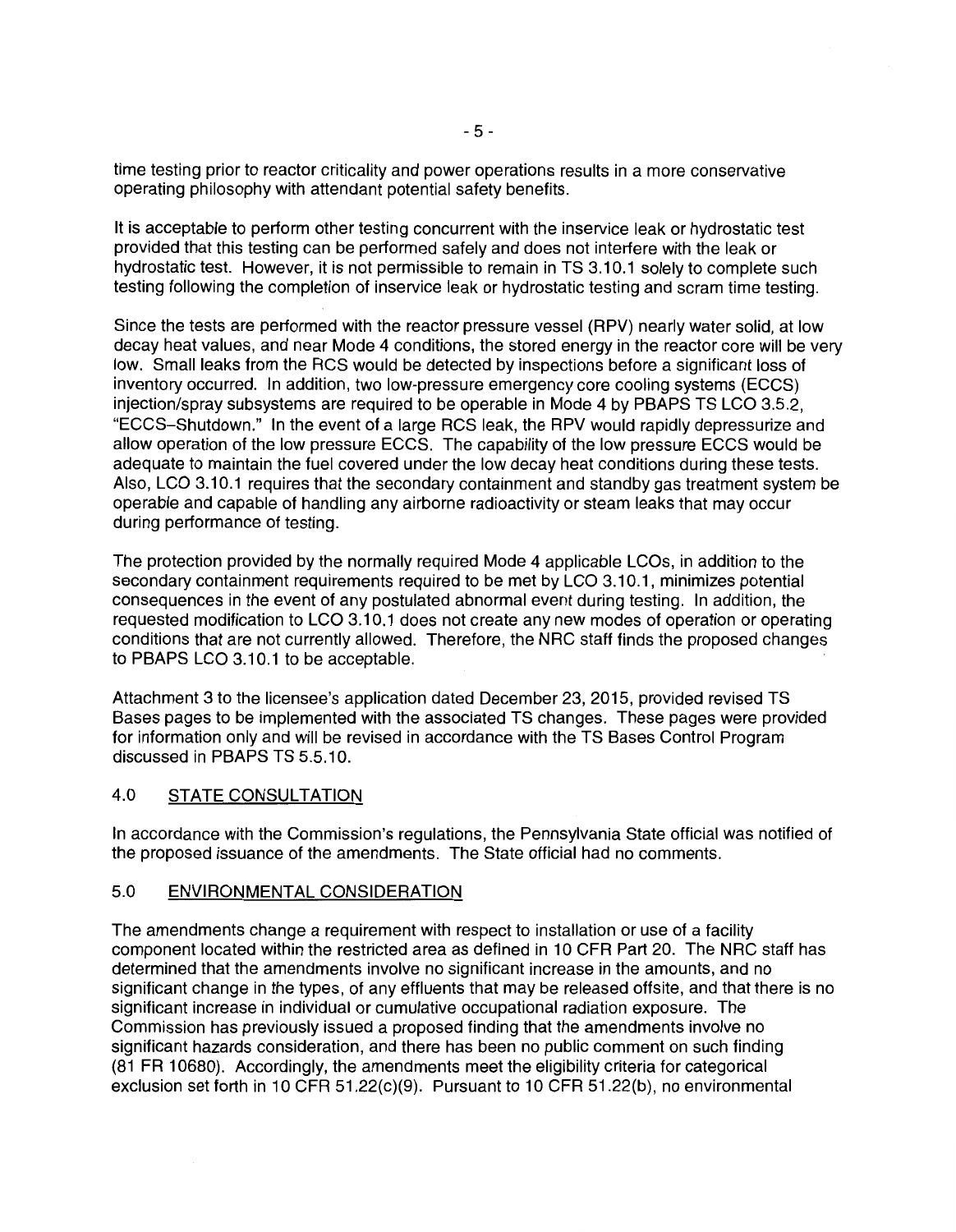time testing prior to reactor criticality and power operations results in a more conservative operating philosophy with attendant potential safety benefits.

It is acceptable to perform other testing concurrent with the inservice leak or hydrostatic test provided that this testing can be performed safely and does not interfere with the leak or hydrostatic test. However, it is not permissible to remain in TS 3.10.1 solely to complete such testing following the completion of inservice leak or hydrostatic testing and scram time testing.

Since the tests are performed with the reactor pressure vessel (RPV) nearly water solid, at low decay heat values, and near Mode 4 conditions, the stored energy in the reactor core will be very low. Small leaks from the RCS would be detected by inspections before a significant loss of inventory occurred. In addition, two low-pressure emergency core cooling systems (ECCS) injection/spray subsystems are required to be operable in Mode 4 by PBAPS TS LCO 3.5.2, "ECCS-Shutdown." In the event of a large RCS leak, the RPV would rapidly depressurize and allow operation of the low pressure ECCS. The capability of the low pressure ECCS would be adequate to maintain the fuel covered under the low decay heat conditions during these tests. Also, LCO 3.10.1 requires that the secondary containment and standby gas treatment system be operable and capable of handling any airborne radioactivity or steam leaks that may occur during performance of testing.

The protection provided by the normally required Mode 4 applicable LCOs, in addition to the secondary containment requirements required to be met by LCO 3.10.1, minimizes potential consequences in the event of any postulated abnormal event during testing. In addition, the requested modification to LCO 3.10.1 does not create any new modes of operation or operating conditions that are not currently allowed. Therefore, the NRC staff finds the proposed changes to PBAPS LCO 3.10.1 to be acceptable.

Attachment 3 to the licensee's application dated December 23, 2015, provided revised TS Bases pages to be implemented with the associated TS changes. These pages were provided for information only and will be revised in accordance with the TS Bases Control Program discussed in PBAPS TS 5.5.10.

#### 4.0 STATE CONSULTATION

In accordance with the Commission's regulations, the Pennsylvania State official was notified of the proposed issuance of the amendments. The State official had no comments.

#### 5.0 ENVIRONMENTAL CONSIDERATION

The amendments change a requirement with respect to installation or use of a facility component located within the restricted area as defined in 10 CFR Part 20. The NRC staff has determined that the amendments involve no significant increase in the amounts, and no significant change in the types, of any effluents that may be released offsite, and that there is no significant increase in individual or cumulative occupational radiation exposure. The Commission has previously issued a proposed finding that the amendments involve no significant hazards consideration, and there has been no public comment on such finding (81 FR 10680). Accordingly, the amendments meet the eligibility criteria for categorical exclusion set forth in 10 CFR 51.22(c)(9). Pursuant to 10 CFR 51.22(b), no environmental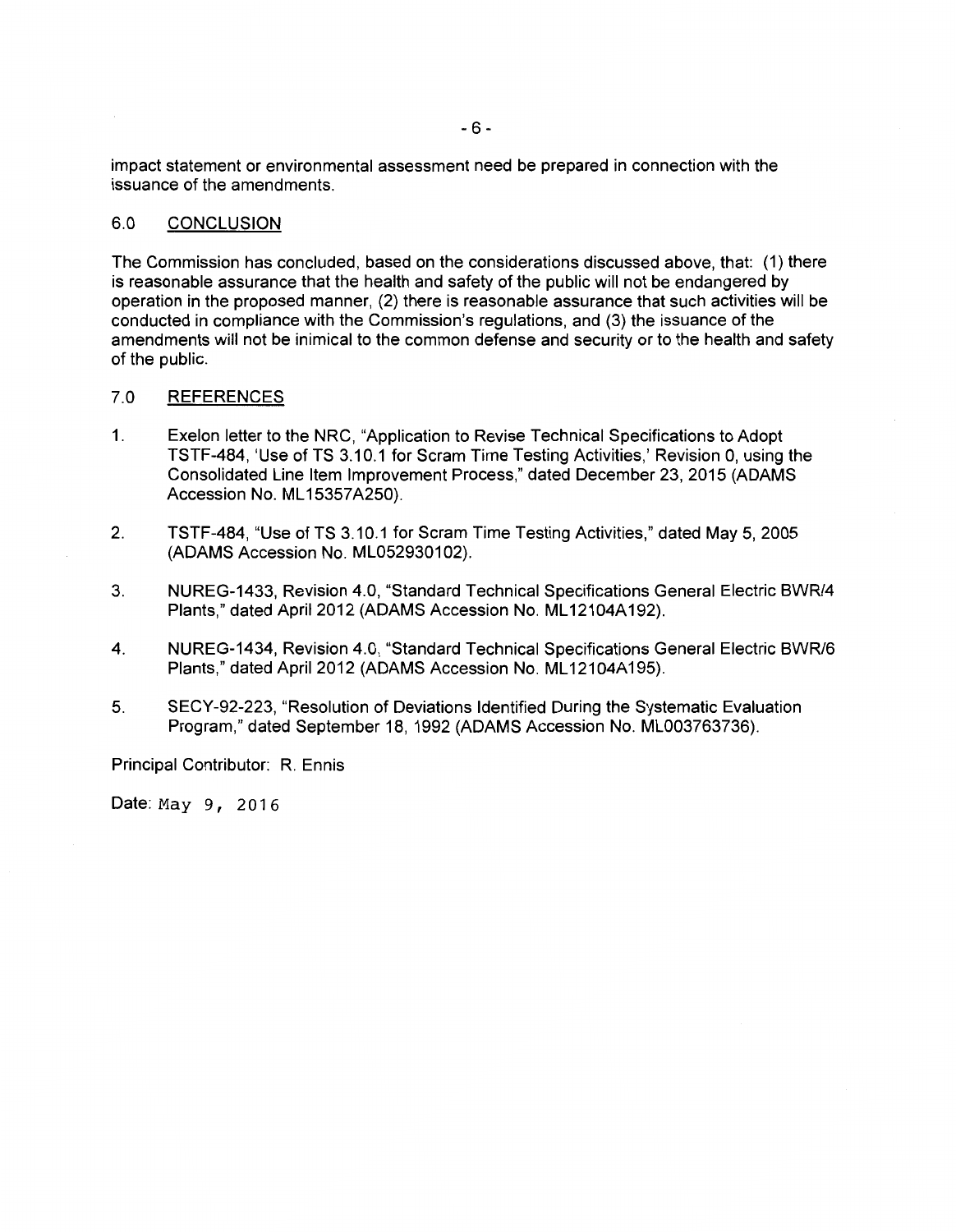impact statement or environmental assessment need be prepared in connection with the issuance of the amendments.

#### 6.0 CONCLUSION

The Commission has concluded, based on the considerations discussed above, that: (1) there is reasonable assurance that the health and safety of the public will not be endangered by operation in the proposed manner, (2) there is reasonable assurance that such activities will be conducted in compliance with the Commission's regulations, and (3) the issuance of the amendments will not be inimical to the common defense and security or to the health and safety of the public.

#### 7.0 REFERENCES

- 1. Exelon letter to the NRC, "Application to Revise Technical Specifications to Adopt TSTF-484, 'Use of TS 3.10.1 for Scram Time Testing Activities,' Revision 0, using the Consolidated Line Item Improvement Process," dated December 23, 2015 (ADAMS Accession No. ML 15357A250).
- 2. TSTF-484, "Use of TS 3.10.1 for Scram Time Testing Activities," dated May 5, 2005 (ADAMS Accession No. ML052930102).
- 3. NUREG-1433, Revision 4.0, "Standard Technical Specifications General Electric BWR/4 Plants," dated April 2012 (ADAMS Accession No. ML12104A192).
- 4. NUREG-1434, Revision 4.0, "Standard Technical Specifications General Electric BWR/6 Plants," dated April 2012 (ADAMS Accession No. ML12104A195).
- 5. SECY-92-223, "Resolution of Deviations Identified During the Systematic Evaluation Program," dated September 18, 1992 (ADAMS Accession No. ML003763736).

Principal Contributor: R. Ennis

Date: May 9, 2016